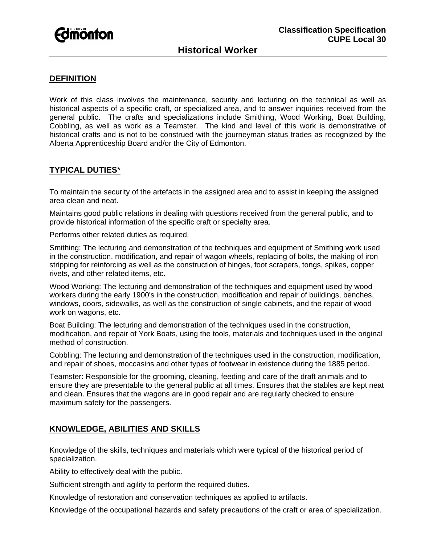

### **DEFINITION**

Work of this class involves the maintenance, security and lecturing on the technical as well as historical aspects of a specific craft, or specialized area, and to answer inquiries received from the general public. The crafts and specializations include Smithing, Wood Working, Boat Building, Cobbling, as well as work as a Teamster. The kind and level of this work is demonstrative of historical crafts and is not to be construed with the journeyman status trades as recognized by the Alberta Apprenticeship Board and/or the City of Edmonton.

# **TYPICAL DUTIES**\*

To maintain the security of the artefacts in the assigned area and to assist in keeping the assigned area clean and neat.

Maintains good public relations in dealing with questions received from the general public, and to provide historical information of the specific craft or specialty area.

Performs other related duties as required.

Smithing: The lecturing and demonstration of the techniques and equipment of Smithing work used in the construction, modification, and repair of wagon wheels, replacing of bolts, the making of iron stripping for reinforcing as well as the construction of hinges, foot scrapers, tongs, spikes, copper rivets, and other related items, etc.

Wood Working: The lecturing and demonstration of the techniques and equipment used by wood workers during the early 1900's in the construction, modification and repair of buildings, benches, windows, doors, sidewalks, as well as the construction of single cabinets, and the repair of wood work on wagons, etc.

Boat Building: The lecturing and demonstration of the techniques used in the construction, modification, and repair of York Boats, using the tools, materials and techniques used in the original method of construction.

Cobbling: The lecturing and demonstration of the techniques used in the construction, modification, and repair of shoes, moccasins and other types of footwear in existence during the 1885 period.

Teamster: Responsible for the grooming, cleaning, feeding and care of the draft animals and to ensure they are presentable to the general public at all times. Ensures that the stables are kept neat and clean. Ensures that the wagons are in good repair and are regularly checked to ensure maximum safety for the passengers.

# **KNOWLEDGE, ABILITIES AND SKILLS**

Knowledge of the skills, techniques and materials which were typical of the historical period of specialization.

Ability to effectively deal with the public.

Sufficient strength and agility to perform the required duties.

Knowledge of restoration and conservation techniques as applied to artifacts.

Knowledge of the occupational hazards and safety precautions of the craft or area of specialization.